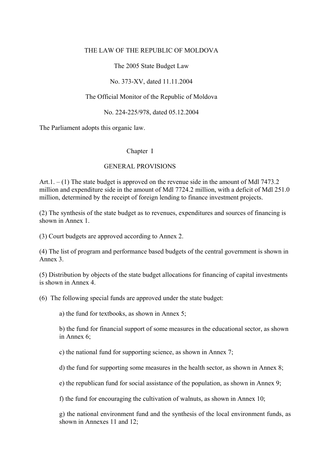# THE LAW OF THE REPUBLIC OF MOLDOVA

The 2005 State Budget Law

No. 373-XV, dated 11.11.2004

## The Official Monitor of the Republic of Moldova

No. 224-225/978, dated 05.12.2004

The Parliament adopts this organic law.

#### Chapter I

#### GENERAL PROVISIONS

Art.  $1 - (1)$  The state budget is approved on the revenue side in the amount of Mdl 7473.2 million and expenditure side in the amount of Mdl 7724.2 million, with a deficit of Mdl 251.0 million, determined by the receipt of foreign lending to finance investment projects.

(2) The synthesis of the state budget as to revenues, expenditures and sources of financing is shown in Annex 1.

(3) Court budgets are approved according to Annex 2.

(4) The list of program and performance based budgets of the central government is shown in Annex 3.

(5) Distribution by objects of the state budget allocations for financing of capital investments is shown in Annex 4.

(6) The following special funds are approved under the state budget:

a) the fund for textbooks, as shown in Annex 5;

b) the fund for financial support of some measures in the educational sector, as shown in Annex 6;

c) the national fund for supporting science, as shown in Annex 7;

d) the fund for supporting some measures in the health sector, as shown in Annex 8;

e) the republican fund for social assistance of the population, as shown in Annex 9;

f) the fund for encouraging the cultivation of walnuts, as shown in Annex 10;

g) the national environment fund and the synthesis of the local environment funds, as shown in Annexes 11 and 12;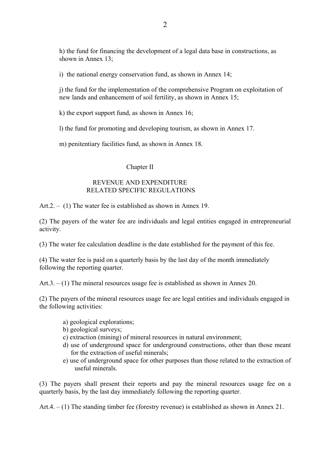h) the fund for financing the development of a legal data base in constructions, as shown in Annex 13;

i) the national energy conservation fund, as shown in Annex 14;

j) the fund for the implementation of the comprehensive Program on exploitation of new lands and enhancement of soil fertility, as shown in Annex 15;

k) the export support fund, as shown in Annex 16;

l) the fund for promoting and developing tourism, as shown in Annex 17.

m) penitentiary facilities fund, as shown in Annex 18.

# Chapter II

# REVENUE AND EXPENDITURE RELATED SPECIFIC REGULATIONS

Art.2. – (1) The water fee is established as shown in Annex 19.

(2) The payers of the water fee are individuals and legal entities engaged in entrepreneurial activity.

(3) The water fee calculation deadline is the date established for the payment of this fee.

(4) The water fee is paid on a quarterly basis by the last day of the month immediately following the reporting quarter.

Art.3. – (1) The mineral resources usage fee is established as shown in Annex 20.

(2) The payers of the mineral resources usage fee are legal entities and individuals engaged in the following activities:

- a) geological explorations;
- b) geological surveys;
- c) extraction (mining) of mineral resources in natural environment;
- d) use of underground space for underground constructions, other than those meant for the extraction of useful minerals;
- e) use of underground space for other purposes than those related to the extraction of useful minerals.

(3) The payers shall present their reports and pay the mineral resources usage fee on a quarterly basis, by the last day immediately following the reporting quarter.

Art.4. – (1) The standing timber fee (forestry revenue) is established as shown in Annex 21.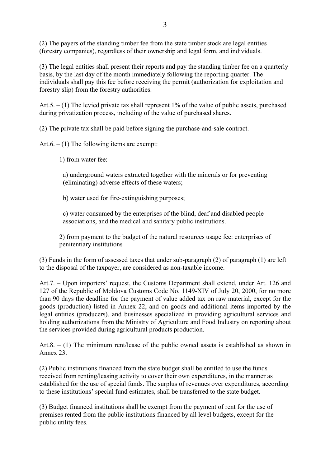(2) The payers of the standing timber fee from the state timber stock are legal entities (forestry companies), regardless of their ownership and legal form, and individuals.

(3) The legal entities shall present their reports and pay the standing timber fee on a quarterly basis, by the last day of the month immediately following the reporting quarter. The individuals shall pay this fee before receiving the permit (authorization for exploitation and forestry slip) from the forestry authorities.

Art.  $5. - (1)$  The levied private tax shall represent 1% of the value of public assets, purchased during privatization process, including of the value of purchased shares.

(2) The private tax shall be paid before signing the purchase-and-sale contract.

Art.6.  $- (1)$  The following items are exempt:

1) from water fee:

a) underground waters extracted together with the minerals or for preventing (eliminating) adverse effects of these waters;

b) water used for fire-extinguishing purposes;

c) water consumed by the enterprises of the blind, deaf and disabled people associations, and the medical and sanitary public institutions.

2) from payment to the budget of the natural resources usage fee: enterprises of penitentiary institutions

(3) Funds in the form of assessed taxes that under sub-paragraph (2) of paragraph (1) are left to the disposal of the taxpayer, are considered as non-taxable income.

Art.7. – Upon importers' request, the Customs Department shall extend, under Art. 126 and 127 of the Republic of Moldova Customs Code No. 1149-XIV of July 20, 2000, for no more than 90 days the deadline for the payment of value added tax on raw material, except for the goods (production) listed in Annex 22, and on goods and additional items imported by the legal entities (producers), and businesses specialized in providing agricultural services and holding authorizations from the Ministry of Agriculture and Food Industry on reporting about the services provided during agricultural products production.

Art.8. – (1) The minimum rent/lease of the public owned assets is established as shown in Annex 23.

(2) Public institutions financed from the state budget shall be entitled to use the funds received from renting/leasing activity to cover their own expenditures, in the manner as established for the use of special funds. The surplus of revenues over expenditures, according to these institutions' special fund estimates, shall be transferred to the state budget.

(3) Budget financed institutions shall be exempt from the payment of rent for the use of premises rented from the public institutions financed by all level budgets, except for the public utility fees.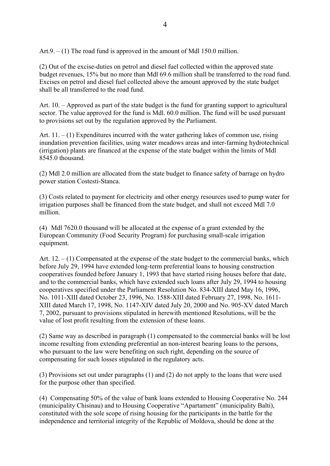Art.9.  $- (1)$  The road fund is approved in the amount of Mdl 150.0 million.

(2) Out of the excise-duties on petrol and diesel fuel collected within the approved state budget revenues, 15% but no more than Mdl 69.6 million shall be transferred to the road fund. Excises on petrol and diesel fuel collected above the amount approved by the state budget shall be all transferred to the road fund.

Art. 10. – Approved as part of the state budget is the fund for granting support to agricultural sector. The value approved for the fund is Mdl. 60.0 million. The fund will be used pursuant to provisions set out by the regulation approved by the Parliament.

Art.  $11. - (1)$  Expenditures incurred with the water gathering lakes of common use, rising inundation prevention facilities, using water meadows areas and inter-farming hydrotechnical (irrigation) plants are financed at the expense of the state budget within the limits of Mdl 8545.0 thousand.

(2) Mdl 2.0 million are allocated from the state budget to finance safety of barrage on hydro power station Costesti-Stanca.

(3) Costs related to payment for electricity and other energy resources used to pump water for irrigation purposes shall be financed from the state budget, and shall not exceed Mdl 7.0 million.

(4) Mdl 7620.0 thousand will be allocated at the expense of a grant extended by the European Community (Food Security Program) for purchasing small-scale irrigation equipment.

Art.  $12 - (1)$  Compensated at the expense of the state budget to the commercial banks, which before July 29, 1994 have extended long-term preferential loans to housing construction cooperatives founded before January 1, 1993 that have started rising houses before that date, and to the commercial banks, which have extended such loans after July 29, 1994 to housing cooperatives specified under the Parliament Resolution No. 834-XIII dated May 16, 1996, No. 1011-XIII dated October 23, 1996, No. 1588-XIII dated February 27, 1998, No. 1611- XIII dated March 17, 1998, No. 1147-XIV dated July 20, 2000 and No. 905-XV dated March 7, 2002, pursuant to provisions stipulated in herewith mentioned Resolutions, will be the value of lost profit resulting from the extension of these loans.

(2) Same way as described in paragraph (1) compensated to the commercial banks will be lost income resulting from extending preferential an non-interest bearing loans to the persons, who pursuant to the law were benefiting on such right, depending on the source of compensating for such losses stipulated in the regulatory acts.

(3) Provisions set out under paragraphs (1) and (2) do not apply to the loans that were used for the purpose other than specified.

(4) Compensating 50% of the value of bank loans extended to Housing Cooperative No. 244 (municipality Chisinau) and to Housing Cooperative "Apartament" (municipality Balti), constituted with the sole scope of rising housing for the participants in the battle for the independence and territorial integrity of the Republic of Moldova, should be done at the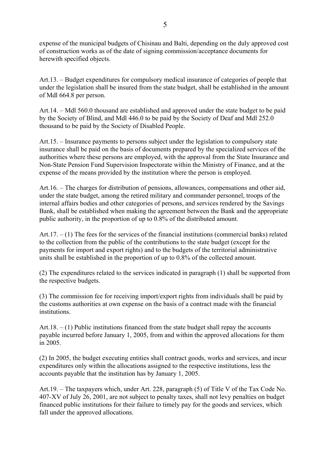expense of the municipal budgets of Chisinau and Balti, depending on the duly approved cost of construction works as of the date of signing commission/acceptance documents for herewith specified objects.

Art.13. – Budget expenditures for compulsory medical insurance of categories of people that under the legislation shall be insured from the state budget, shall be established in the amount of Mdl 664.8 per person.

Art.14. – Mdl 560.0 thousand are established and approved under the state budget to be paid by the Society of Blind, and Mdl 446.0 to be paid by the Society of Deaf and Mdl 252.0 thousand to be paid by the Society of Disabled People.

Art.15. – Insurance payments to persons subject under the legislation to compulsory state insurance shall be paid on the basis of documents prepared by the specialized services of the authorities where these persons are employed, with the approval from the State Insurance and Non-State Pension Fund Supervision Inspectorate within the Ministry of Finance, and at the expense of the means provided by the institution where the person is employed.

Art.16. – The charges for distribution of pensions, allowances, compensations and other aid, under the state budget, among the retired military and commander personnel, troops of the internal affairs bodies and other categories of persons, and services rendered by the Savings Bank, shall be established when making the agreement between the Bank and the appropriate public authority, in the proportion of up to 0.8% of the distributed amount.

Art.  $17. - (1)$  The fees for the services of the financial institutions (commercial banks) related to the collection from the public of the contributions to the state budget (except for the payments for import and export rights) and to the budgets of the territorial administrative units shall be established in the proportion of up to 0.8% of the collected amount.

(2) The expenditures related to the services indicated in paragraph (1) shall be supported from the respective budgets.

(3) The commission fee for receiving import/export rights from individuals shall be paid by the customs authorities at own expense on the basis of a contract made with the financial **institutions** 

Art.18. – (1) Public institutions financed from the state budget shall repay the accounts payable incurred before January 1, 2005, from and within the approved allocations for them in 2005.

(2) In 2005, the budget executing entities shall contract goods, works and services, and incur expenditures only within the allocations assigned to the respective institutions, less the accounts payable that the institution has by January 1, 2005.

Art.19. – The taxpayers which, under Art. 228, paragraph (5) of Title V of the Tax Code No. 407-XV of July 26, 2001, are not subject to penalty taxes, shall not levy penalties on budget financed public institutions for their failure to timely pay for the goods and services, which fall under the approved allocations.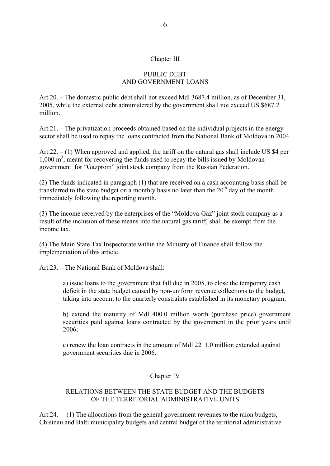#### Chapter III

# PUBLIC DEBT AND GOVERNMENT LOANS

Art.20. – The domestic public debt shall not exceed Mdl 3687.4 million, as of December 31, 2005, while the external debt administered by the government shall not exceed US \$687.2 million.

Art.21. – The privatization proceeds obtained based on the individual projects in the energy sector shall be used to repay the loans contracted from the National Bank of Moldova in 2004.

Art.  $22. - (1)$  When approved and applied, the tariff on the natural gas shall include US \$4 per 1,000 m<sup>3</sup>, meant for recovering the funds used to repay the bills issued by Moldovan government for "Gazprom" joint stock company from the Russian Federation.

(2) The funds indicated in paragraph (1) that are received on a cash accounting basis shall be transferred to the state budget on a monthly basis no later than the  $20<sup>th</sup>$  day of the month immediately following the reporting month.

(3) The income received by the enterprises of the "Moldova-Gaz" joint stock company as a result of the inclusion of these means into the natural gas tariff, shall be exempt from the income tax.

(4) The Main State Tax Inspectorate within the Ministry of Finance shall follow the implementation of this article.

Art.23. – The National Bank of Moldova shall:

a) issue loans to the government that fall due in 2005, to close the temporary cash deficit in the state budget caused by non-uniform revenue collections to the budget, taking into account to the quarterly constraints established in its monetary program;

b) extend the maturity of Mdl 400.0 million worth (purchase price) government securities paid against loans contracted by the government in the prior years until 2006;

c) renew the loan contracts in the amount of Mdl 2211.0 million extended against government securities due in 2006.

#### Chapter IV

#### RELATIONS BETWEEN THE STATE BUDGET AND THE BUDGETS OF THE TERRITORIAL ADMINISTRATIVE UNITS

Art.24. – (1) The allocations from the general government revenues to the raion budgets, Chisinau and Balti municipality budgets and central budget of the territorial administrative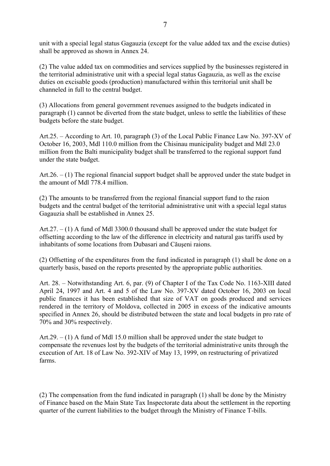unit with a special legal status Gagauzia (except for the value added tax and the excise duties) shall be approved as shown in Annex 24.

(2) The value added tax on commodities and services supplied by the businesses registered in the territorial administrative unit with a special legal status Gagauzia, as well as the excise duties on excisable goods (production) manufactured within this territorial unit shall be channeled in full to the central budget.

(3) Allocations from general government revenues assigned to the budgets indicated in paragraph (1) cannot be diverted from the state budget, unless to settle the liabilities of these budgets before the state budget.

Art.25. – According to Art. 10, paragraph (3) of the Local Public Finance Law No. 397-XV of October 16, 2003, Mdl 110.0 million from the Chisinau municipality budget and Mdl 23.0 million from the Balti municipality budget shall be transferred to the regional support fund under the state budget.

Art.26. – (1) The regional financial support budget shall be approved under the state budget in the amount of Mdl 778.4 million.

(2) The amounts to be transferred from the regional financial support fund to the raion budgets and the central budget of the territorial administrative unit with a special legal status Gagauzia shall be established in Annex 25.

Art.  $27. - (1)$  A fund of Mdl 3300.0 thousand shall be approved under the state budget for offsetting according to the law of the difference in electricity and natural gas tariffs used by inhabitants of some locations from Dubasari and Căuşeni raions.

(2) Offsetting of the expenditures from the fund indicated in paragraph (1) shall be done on a quarterly basis, based on the reports presented by the appropriate public authorities.

Art. 28. – Notwithstanding Art. 6, par. (9) of Chapter I of the Tax Code No. 1163-XIII dated April 24, 1997 and Art. 4 and 5 of the Law No. 397-XV dated October 16, 2003 on local public finances it has been established that size of VAT on goods produced and services rendered in the territory of Moldova, collected in 2005 in excess of the indicative amounts specified in Annex 26, should be distributed between the state and local budgets in pro rate of 70% and 30% respectively.

Art.  $29. - (1)$  A fund of Mdl 15.0 million shall be approved under the state budget to compensate the revenues lost by the budgets of the territorial administrative units through the execution of Art. 18 of Law No. 392-XIV of May 13, 1999, on restructuring of privatized farms.

(2) The compensation from the fund indicated in paragraph (1) shall be done by the Ministry of Finance based on the Main State Tax Inspectorate data about the settlement in the reporting quarter of the current liabilities to the budget through the Ministry of Finance T-bills.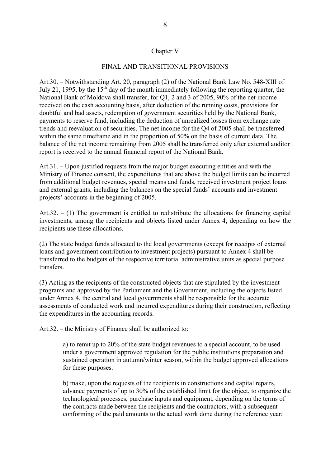#### Chapter V

## FINAL AND TRANSITIONAL PROVISIONS

Art.30. – Notwithstanding Art. 20, paragraph (2) of the National Bank Law No. 548-XIII of July 21, 1995, by the  $15<sup>th</sup>$  day of the month immediately following the reporting quarter, the National Bank of Moldova shall transfer, for Q1, 2 and 3 of 2005, 90% of the net income received on the cash accounting basis, after deduction of the running costs, provisions for doubtful and bad assets, redemption of government securities held by the National Bank, payments to reserve fund, including the deduction of unrealized losses from exchange rate trends and reevaluation of securities. The net income for the Q4 of 2005 shall be transferred within the same timeframe and in the proportion of 50% on the basis of current data. The balance of the net income remaining from 2005 shall be transferred only after external auditor report is received to the annual financial report of the National Bank.

Art.31. – Upon justified requests from the major budget executing entities and with the Ministry of Finance consent, the expenditures that are above the budget limits can be incurred from additional budget revenues, special means and funds, received investment project loans and external grants, including the balances on the special funds' accounts and investment projects' accounts in the beginning of 2005.

Art.32.  $-$  (1) The government is entitled to redistribute the allocations for financing capital investments, among the recipients and objects listed under Annex 4, depending on how the recipients use these allocations.

(2) The state budget funds allocated to the local governments (except for receipts of external loans and government contribution to investment projects) pursuant to Annex 4 shall be transferred to the budgets of the respective territorial administrative units as special purpose transfers.

(3) Acting as the recipients of the constructed objects that are stipulated by the investment programs and approved by the Parliament and the Government, including the objects listed under Annex 4, the central and local governments shall be responsible for the accurate assessments of conducted work and incurred expenditures during their construction, reflecting the expenditures in the accounting records.

Art.32. – the Ministry of Finance shall be authorized to:

a) to remit up to 20% of the state budget revenues to a special account, to be used under a government approved regulation for the public institutions preparation and sustained operation in autumn/winter season, within the budget approved allocations for these purposes.

b) make, upon the requests of the recipients in constructions and capital repairs, advance payments of up to 30% of the established limit for the object, to organize the technological processes, purchase inputs and equipment, depending on the terms of the contracts made between the recipients and the contractors, with a subsequent conforming of the paid amounts to the actual work done during the reference year;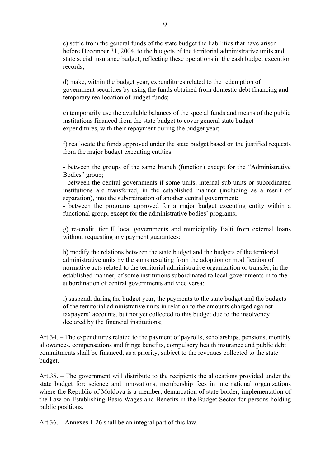c) settle from the general funds of the state budget the liabilities that have arisen before December 31, 2004, to the budgets of the territorial administrative units and state social insurance budget, reflecting these operations in the cash budget execution records;

d) make, within the budget year, expenditures related to the redemption of government securities by using the funds obtained from domestic debt financing and temporary reallocation of budget funds;

e) temporarily use the available balances of the special funds and means of the public institutions financed from the state budget to cover general state budget expenditures, with their repayment during the budget year;

f) reallocate the funds approved under the state budget based on the justified requests from the major budget executing entities:

- between the groups of the same branch (function) except for the "Administrative Bodies" group;

- between the central governments if some units, internal sub-units or subordinated institutions are transferred, in the established manner (including as a result of separation), into the subordination of another central government;

- between the programs approved for a major budget executing entity within a functional group, except for the administrative bodies' programs;

g) re-credit, tier II local governments and municipality Balti from external loans without requesting any payment guarantees;

h) modify the relations between the state budget and the budgets of the territorial administrative units by the sums resulting from the adoption or modification of normative acts related to the territorial administrative organization or transfer, in the established manner, of some institutions subordinated to local governments in to the subordination of central governments and vice versa;

i) suspend, during the budget year, the payments to the state budget and the budgets of the territorial administrative units in relation to the amounts charged against taxpayers' accounts, but not yet collected to this budget due to the insolvency declared by the financial institutions;

Art.34. – The expenditures related to the payment of payrolls, scholarships, pensions, monthly allowances, compensations and fringe benefits, compulsory health insurance and public debt commitments shall be financed, as a priority, subject to the revenues collected to the state budget.

Art.35. – The government will distribute to the recipients the allocations provided under the state budget for: science and innovations, membership fees in international organizations where the Republic of Moldova is a member; demarcation of state border; implementation of the Law on Establishing Basic Wages and Benefits in the Budget Sector for persons holding public positions.

Art.36. – Annexes 1-26 shall be an integral part of this law.